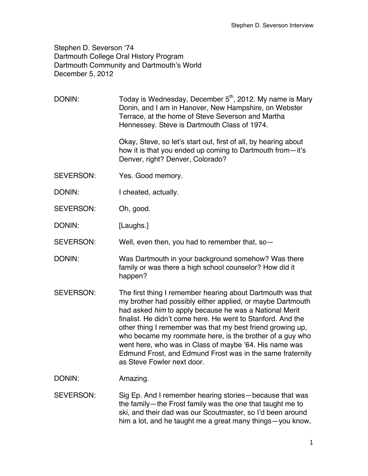Stephen D. Severson ʻ74 Dartmouth College Oral History Program Dartmouth Community and Dartmouth's World December 5, 2012

DONIN: Today is Wednesday, December  $5<sup>th</sup>$ , 2012. My name is Mary Donin, and I am in Hanover, New Hampshire, on Webster Terrace, at the home of Steve Severson and Martha Hennessey. Steve is Dartmouth Class of 1974.

> Okay, Steve, so let's start out, first of all, by hearing about how it is that you ended up coming to Dartmouth from—it's Denver, right? Denver, Colorado?

- SEVERSON: Yes. Good memory.
- DONIN: I cheated, actually.
- SEVERSON: Oh, good.

DONIN: [Laughs.]

SEVERSON: Well, even then, you had to remember that, so—

- DONIN: Was Dartmouth in your background somehow? Was there family or was there a high school counselor? How did it happen?
- SEVERSON: The first thing I remember hearing about Dartmouth was that my brother had possibly either applied, or maybe Dartmouth had asked *him* to apply because he was a National Merit finalist. He didn't come here. He went to Stanford. And the other thing I remember was that my best friend growing up, who became my roommate here, is the brother of a guy who went here, who was in Class of maybe '64. His name was Edmund Frost, and Edmund Frost was in the same fraternity as Steve Fowler next door.

DONIN: Amazing.

SEVERSON: Sig Ep. And I remember hearing stories—because that was the family—the Frost family was the one that taught me to ski, and their dad was our Scoutmaster, so I'd been around him a lot, and he taught me a great many things—you know,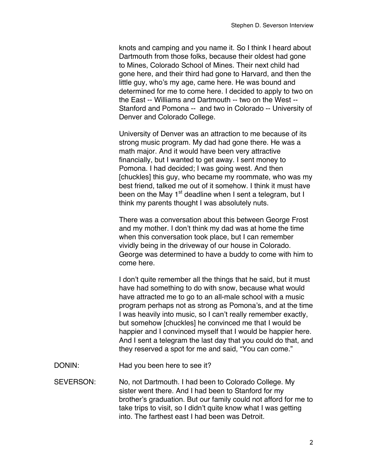knots and camping and you name it. So I think I heard about Dartmouth from those folks, because their oldest had gone to Mines, Colorado School of Mines. Their next child had gone here, and their third had gone to Harvard, and then the little guy, who's my age, came here. He was bound and determined for me to come here. I decided to apply to two on the East -- Williams and Dartmouth -- two on the West -- Stanford and Pomona -- and two in Colorado -- University of Denver and Colorado College.

University of Denver was an attraction to me because of its strong music program. My dad had gone there. He was a math major. And it would have been very attractive financially, but I wanted to get away. I sent money to Pomona. I had decided; I was going west. And then [chuckles] this guy, who became my roommate, who was my best friend, talked me out of it somehow. I think it must have been on the May  $1<sup>st</sup>$  deadline when I sent a telegram, but I think my parents thought I was absolutely nuts.

There was a conversation about this between George Frost and my mother. I don't think my dad was at home the time when this conversation took place, but I can remember vividly being in the driveway of our house in Colorado. George was determined to have a buddy to come with him to come here.

I don't quite remember all the things that he said, but it must have had something to do with snow, because what would have attracted me to go to an all-male school with a music program perhaps not as strong as Pomona's, and at the time I was heavily into music, so I can't really remember exactly, but somehow [chuckles] he convinced me that I would be happier and I convinced myself that I would be happier here. And I sent a telegram the last day that you could do that, and they reserved a spot for me and said, "You can come."

DONIN: Had you been here to see it?

SEVERSON: No, not Dartmouth. I had been to Colorado College. My sister went there. And I had been to Stanford for my brother's graduation. But our family could not afford for me to take trips to visit, so I didn't quite know what I was getting into. The farthest east I had been was Detroit.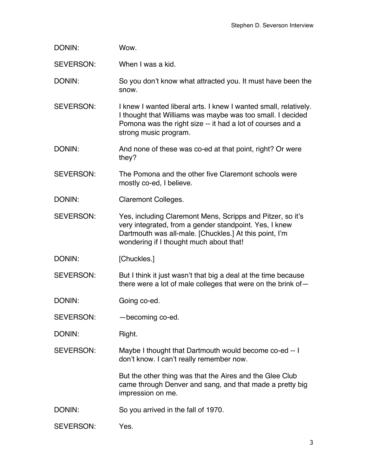| DONIN:           | Wow.                                                                                                                                                                                                                      |
|------------------|---------------------------------------------------------------------------------------------------------------------------------------------------------------------------------------------------------------------------|
| <b>SEVERSON:</b> | When I was a kid.                                                                                                                                                                                                         |
| DONIN:           | So you don't know what attracted you. It must have been the<br>snow.                                                                                                                                                      |
| <b>SEVERSON:</b> | I knew I wanted liberal arts. I knew I wanted small, relatively.<br>I thought that Williams was maybe was too small. I decided<br>Pomona was the right size -- it had a lot of courses and a<br>strong music program.     |
| DONIN:           | And none of these was co-ed at that point, right? Or were<br>they?                                                                                                                                                        |
| <b>SEVERSON:</b> | The Pomona and the other five Claremont schools were<br>mostly co-ed, I believe.                                                                                                                                          |
| DONIN:           | <b>Claremont Colleges.</b>                                                                                                                                                                                                |
| <b>SEVERSON:</b> | Yes, including Claremont Mens, Scripps and Pitzer, so it's<br>very integrated, from a gender standpoint. Yes, I knew<br>Dartmouth was all-male. [Chuckles.] At this point, I'm<br>wondering if I thought much about that! |
| DONIN:           | [Chuckles.]                                                                                                                                                                                                               |
| <b>SEVERSON:</b> | But I think it just wasn't that big a deal at the time because<br>there were a lot of male colleges that were on the brink of-                                                                                            |
| DONIN:           | Going co-ed.                                                                                                                                                                                                              |
| SEVERSON:        | -becoming co-ed.                                                                                                                                                                                                          |
| DONIN:           | Right.                                                                                                                                                                                                                    |
| <b>SEVERSON:</b> | Maybe I thought that Dartmouth would become co-ed -- I<br>don't know. I can't really remember now.                                                                                                                        |
|                  | But the other thing was that the Aires and the Glee Club<br>came through Denver and sang, and that made a pretty big<br>impression on me.                                                                                 |
| DONIN:           | So you arrived in the fall of 1970.                                                                                                                                                                                       |
| SEVERSON:        | Yes.                                                                                                                                                                                                                      |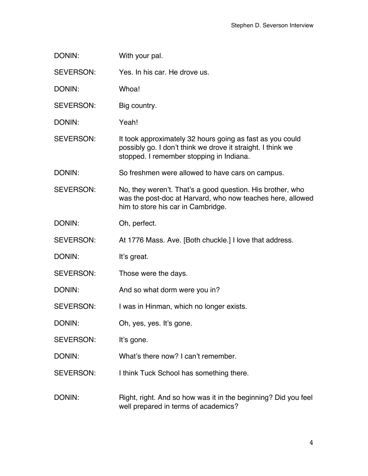| DONIN:           | With your pal.                                                                                                                                                       |
|------------------|----------------------------------------------------------------------------------------------------------------------------------------------------------------------|
| <b>SEVERSON:</b> | Yes. In his car. He drove us.                                                                                                                                        |
| DONIN:           | Whoa!                                                                                                                                                                |
| SEVERSON:        | Big country.                                                                                                                                                         |
| DONIN:           | Yeah!                                                                                                                                                                |
| SEVERSON:        | It took approximately 32 hours going as fast as you could<br>possibly go. I don't think we drove it straight. I think we<br>stopped. I remember stopping in Indiana. |
| DONIN:           | So freshmen were allowed to have cars on campus.                                                                                                                     |
| <b>SEVERSON:</b> | No, they weren't. That's a good question. His brother, who<br>was the post-doc at Harvard, who now teaches here, allowed<br>him to store his car in Cambridge.       |
| DONIN:           | Oh, perfect.                                                                                                                                                         |
| SEVERSON:        | At 1776 Mass. Ave. [Both chuckle.] I love that address.                                                                                                              |
| DONIN:           | It's great.                                                                                                                                                          |
| SEVERSON:        | Those were the days.                                                                                                                                                 |
| DONIN:           | And so what dorm were you in?                                                                                                                                        |
| SEVERSON:        | I was in Hinman, which no longer exists.                                                                                                                             |
| DONIN:           | Oh, yes, yes. It's gone.                                                                                                                                             |
| SEVERSON:        | It's gone.                                                                                                                                                           |
| DONIN:           | What's there now? I can't remember.                                                                                                                                  |
| <b>SEVERSON:</b> | I think Tuck School has something there.                                                                                                                             |
| DONIN:           | Right, right. And so how was it in the beginning? Did you feel<br>well prepared in terms of academics?                                                               |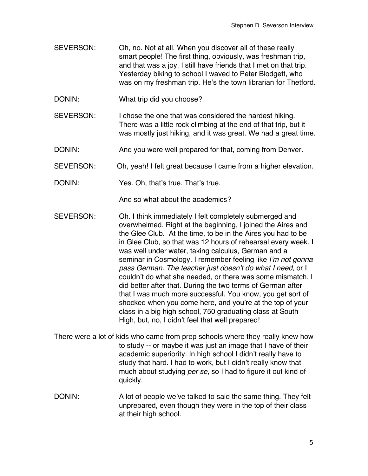- SEVERSON: Oh, no. Not at all. When you discover all of these really smart people! The first thing, obviously, was freshman trip, and that was a joy. I still have friends that I met on that trip. Yesterday biking to school I waved to Peter Blodgett, who was on my freshman trip. He's the town librarian for Thetford.
- DONIN: What trip did you choose?
- SEVERSON: I chose the one that was considered the hardest hiking. There was a little rock climbing at the end of that trip, but it was mostly just hiking, and it was great. We had a great time.
- DONIN: And you were well prepared for that, coming from Denver.
- SEVERSON: Oh, yeah! I felt great because I came from a higher elevation.
- DONIN: Yes. Oh, that's true. That's true.

And so what about the academics?

- SEVERSON: Oh. I think immediately I felt completely submerged and overwhelmed. Right at the beginning, I joined the Aires and the Glee Club. At the time, to be in the Aires you had to be in Glee Club, so that was 12 hours of rehearsal every week. I was well under water, taking calculus, German and a seminar in Cosmology. I remember feeling like *I*'*m not gonna pass German. The teacher just doesn*'*t do what I need*, or I couldn't do what she needed, or there was some mismatch. I did better after that. During the two terms of German after that I was much more successful. You know, you get sort of shocked when you come here, and you're at the top of your class in a big high school, 750 graduating class at South High, but, no, I didn't feel that well prepared!
- There were a lot of kids who came from prep schools where they really knew how to study -- or maybe it was just an image that I have of their academic superiority. In high school I didn't really have to study that hard. I had to work, but I didn't really know that much about studying *per se*, so I had to figure it out kind of quickly.
- DONIN: A lot of people we've talked to said the same thing. They felt unprepared, even though they were in the top of their class at their high school.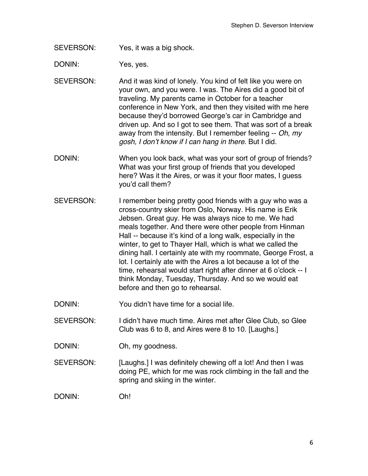SEVERSON: Yes, it was a big shock.

DONIN: Yes, yes.

SEVERSON: And it was kind of lonely. You kind of felt like you were on your own, and you were. I was. The Aires did a good bit of traveling. My parents came in October for a teacher conference in New York, and then they visited with me here because they'd borrowed George's car in Cambridge and driven up. And so I got to see them. That was sort of a break away from the intensity. But I remember feeling -- *Oh, my gosh, I don*'*t know if I can hang in there*. But I did.

- DONIN: When you look back, what was your sort of group of friends? What was your first group of friends that you developed here? Was it the Aires, or was it your floor mates, I guess you'd call them?
- SEVERSON: I remember being pretty good friends with a guy who was a cross-country skier from Oslo, Norway. His name is Erik Jebsen. Great guy. He was always nice to me. We had meals together. And there were other people from Hinman Hall -- because it's kind of a long walk, especially in the winter, to get to Thayer Hall, which is what we called the dining hall. I certainly ate with my roommate, George Frost, a lot. I certainly ate with the Aires a lot because a lot of the time, rehearsal would start right after dinner at 6 o'clock -- I think Monday, Tuesday, Thursday. And so we would eat before and then go to rehearsal.
- DONIN: You didn't have time for a social life.
- SEVERSON: I didn't have much time. Aires met after Glee Club, so Glee Club was 6 to 8, and Aires were 8 to 10. [Laughs.]
- DONIN: Oh, my goodness.
- SEVERSON: [Laughs.] I was definitely chewing off a lot! And then I was doing PE, which for me was rock climbing in the fall and the spring and skiing in the winter.

DONIN: Oh!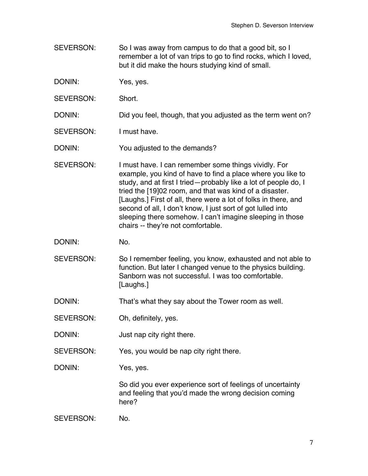- SEVERSON: So I was away from campus to do that a good bit, so I remember a lot of van trips to go to find rocks, which I loved, but it did make the hours studying kind of small.
- DONIN: Yes, yes.
- SEVERSON: Short.

DONIN: Did you feel, though, that you adjusted as the term went on?

SEVERSON: I must have.

DONIN: You adjusted to the demands?

- SEVERSON: I must have. I can remember some things vividly. For example, you kind of have to find a place where you like to study, and at first I tried—probably like a lot of people do, I tried the [19]02 room, and that was kind of a disaster. [Laughs.] First of all, there were a lot of folks in there, and second of all, I don't know, I just sort of got lulled into sleeping there somehow. I can't imagine sleeping in those chairs -- they're not comfortable.
- DONIN: No.
- SEVERSON: So I remember feeling, you know, exhausted and not able to function. But later I changed venue to the physics building. Sanborn was not successful. I was too comfortable. [Laughs.]
- DONIN: That's what they say about the Tower room as well.
- SEVERSON: Oh, definitely, yes.
- DONIN: Just nap city right there.
- SEVERSON: Yes, you would be nap city right there.

DONIN: Yes, yes.

So did you ever experience sort of feelings of uncertainty and feeling that you'd made the wrong decision coming here?

SEVERSON: No.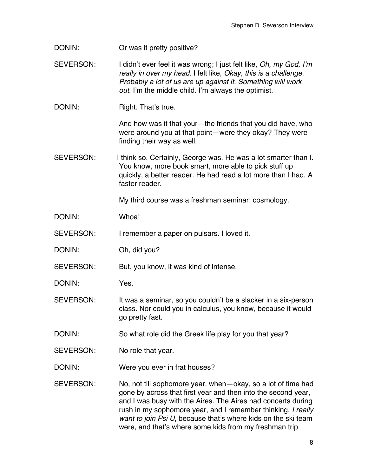DONIN: Or was it pretty positive?

SEVERSON: I didn't ever feel it was wrong; I just felt like, *Oh, my God, I*'*m really in over my head.* I felt like, *Okay, this is a challenge. Probably a lot of us are up against it. Something will work out.* I'm the middle child. I'm always the optimist.

DONIN: Right. That's true.

And how was it that your—the friends that you did have, who were around you at that point—were they okay? They were finding their way as well.

SEVERSON: I think so. Certainly, George was. He was a lot smarter than I. You know, more book smart, more able to pick stuff up quickly, a better reader. He had read a lot more than I had. A faster reader.

My third course was a freshman seminar: cosmology.

DONIN: Whoa!

SEVERSON: I remember a paper on pulsars. I loved it.

DONIN: Oh, did you?

SEVERSON: But, you know, it was kind of intense.

DONIN: Yes.

SEVERSON: It was a seminar, so you couldn't be a slacker in a six-person class. Nor could you in calculus, you know, because it would go pretty fast.

DONIN: So what role did the Greek life play for you that year?

SEVERSON: No role that year.

DONIN: Were you ever in frat houses?

SEVERSON: No, not till sophomore year, when—okay, so a lot of time had gone by across that first year and then into the second year, and I was busy with the Aires. The Aires had concerts during rush in my sophomore year, and I remember thinking, *I really want to join Psi U*, because that's where kids on the ski team were, and that's where some kids from my freshman trip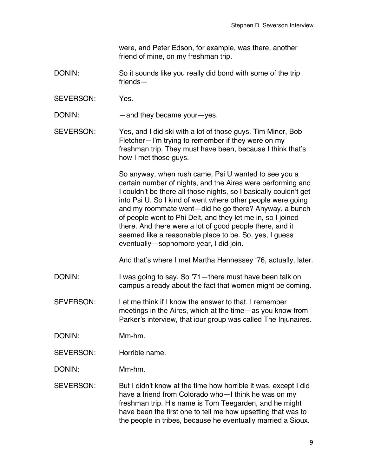were, and Peter Edson, for example, was there, another friend of mine, on my freshman trip.

- DONIN: So it sounds like you really did bond with some of the trip friends—
- SEVERSON: Yes.

DONIN: —and they became your—yes.

SEVERSON: Yes, and I did ski with a lot of those guys. Tim Miner, Bob Fletcher—I'm trying to remember if they were on my freshman trip. They must have been, because I think that's how I met those guys.

> So anyway, when rush came, Psi U wanted to see you a certain number of nights, and the Aires were performing and I couldn't be there all those nights, so I basically couldn't get into Psi U. So I kind of went where other people were going and my roommate went—did he go there? Anyway, a bunch of people went to Phi Delt, and they let me in, so I joined there. And there were a lot of good people there, and it seemed like a reasonable place to be. So, yes, I guess eventually—sophomore year, I did join.

And that's where I met Martha Hennessey ʻ76, actually, later.

DONIN: I was going to say. So '71—there must have been talk on campus already about the fact that women might be coming.

SEVERSON: Let me think if I know the answer to that. I remember meetings in the Aires, which at the time—as you know from Parker's interview, that iour group was called The Injunaires.

DONIN: Mm-hm.

SEVERSON: Horrible name.

DONIN: Mm-hm.

SEVERSON: But I didn't know at the time how horrible it was, except I did have a friend from Colorado who—I think he was on my freshman trip. His name is Tom Teegarden, and he might have been the first one to tell me how upsetting that was to the people in tribes, because he eventually married a Sioux.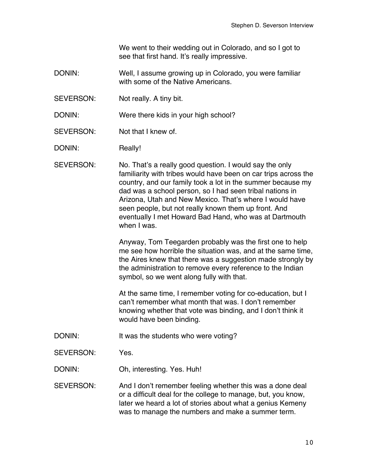We went to their wedding out in Colorado, and so I got to see that first hand. It's really impressive.

- DONIN: Well, I assume growing up in Colorado, you were familiar with some of the Native Americans.
- SEVERSON: Not really. A tiny bit.

DONIN: Were there kids in your high school?

SEVERSON: Not that I knew of.

DONIN: Really!

SEVERSON: No. That's a really good question. I would say the only familiarity with tribes would have been on car trips across the country, and our family took a lot in the summer because my dad was a school person, so I had seen tribal nations in Arizona, Utah and New Mexico. That's where I would have seen people, but not really known them up front. And eventually I met Howard Bad Hand, who was at Dartmouth when I was.

> Anyway, Tom Teegarden probably was the first one to help me see how horrible the situation was, and at the same time, the Aires knew that there was a suggestion made strongly by the administration to remove every reference to the Indian symbol, so we went along fully with that.

At the same time, I remember voting for co-education, but I can't remember what month that was. I don't remember knowing whether that vote was binding, and I don't think it would have been binding.

- DONIN: It was the students who were voting?
- SEVERSON: Yes.

DONIN: Oh, interesting. Yes. Huh!

SEVERSON: And I don't remember feeling whether this was a done deal or a difficult deal for the college to manage, but, you know, later we heard a lot of stories about what a genius Kemeny was to manage the numbers and make a summer term.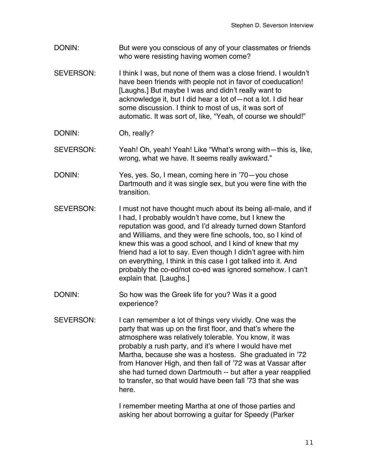- DONIN: But were you conscious of any of your classmates or friends who were resisting having women come?
- SEVERSON: I think I was, but none of them was a close friend. I wouldn't have been friends with people not in favor of coeducation! [Laughs.] But maybe I was and didn't really want to acknowledge it, but I did hear a lot of—not a lot. I did hear some discussion. I think to most of us, it was sort of automatic. It was sort of, like, "Yeah, of course we should!"
- DONIN: Oh, really?
- SEVERSON: Yeah! Oh, yeah! Yeah! Like "What's wrong with—this is, like, wrong, what we have. It seems really awkward."
- DONIN: Yes, yes. So, I mean, coming here in '70—you chose Dartmouth and it was single sex, but you were fine with the transition.
- SEVERSON: I must not have thought much about its being all-male, and if I had, I probably wouldn't have come, but I knew the reputation was good, and I'd already turned down Stanford and Williams, and they were fine schools, too, so I kind of knew this was a good school, and I kind of knew that my friend had a lot to say. Even though I didn't agree with him on everything, I think in this case I got talked into it. And probably the co-ed/not co-ed was ignored somehow. I can't explain that. [Laughs.]
- DONIN: So how was the Greek life for you? Was it a good experience?
- SEVERSON: I can remember a lot of things very vividly. One was the party that was up on the first floor, and that's where the atmosphere was relatively tolerable. You know, it was probably a rush party, and it's where I would have met Martha, because she was a hostess. She graduated in '72 from Hanover High, and then fall of '72 was at Vassar after she had turned down Dartmouth -- but after a year reapplied to transfer, so that would have been fall '73 that she was here.

I remember meeting Martha at one of those parties and asking her about borrowing a guitar for Speedy (Parker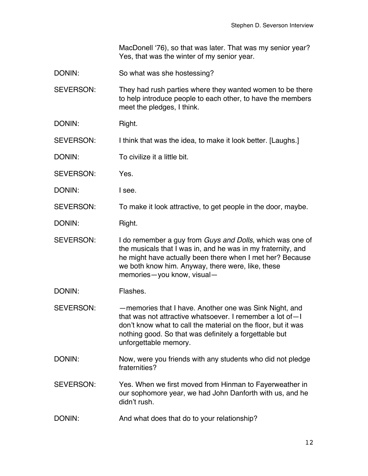MacDonell ʻ76), so that was later. That was my senior year? Yes, that was the winter of my senior year.

DONIN: So what was she hostessing?

SEVERSON: They had rush parties where they wanted women to be there to help introduce people to each other, to have the members meet the pledges, I think.

- DONIN: Right.
- SEVERSON: I think that was the idea, to make it look better. [Laughs.]
- DONIN: To civilize it a little bit.
- SEVERSON: Yes.
- DONIN: I see.

SEVERSON: To make it look attractive, to get people in the door, maybe.

DONIN: Right.

SEVERSON: I do remember a guy from *Guys and Dolls*, which was one of the musicals that I was in, and he was in my fraternity, and he might have actually been there when I met her? Because we both know him. Anyway, there were, like, these memories—you know, visual—

- DONIN: Flashes.
- SEVERSON: —memories that I have. Another one was Sink Night, and that was not attractive whatsoever. I remember a lot of—I don't know what to call the material on the floor, but it was nothing good. So that was definitely a forgettable but unforgettable memory.
- DONIN: Now, were you friends with any students who did not pledge fraternities?
- SEVERSON: Yes. When we first moved from Hinman to Fayerweather in our sophomore year, we had John Danforth with us, and he didn't rush.
- DONIN: And what does that do to your relationship?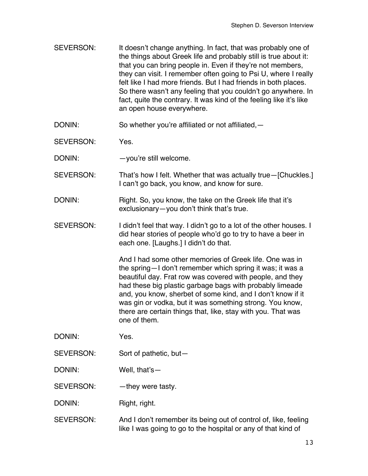- SEVERSON: It doesn't change anything. In fact, that was probably one of the things about Greek life and probably still is true about it: that you can bring people in. Even if they're not members, they can visit. I remember often going to Psi U, where I really felt like I had more friends. But I had friends in both places. So there wasn't any feeling that you couldn't go anywhere. In fact, quite the contrary. It was kind of the feeling like it's like an open house everywhere.
- DONIN: So whether you're affiliated or not affiliated, -
- SEVERSON: Yes.
- DONIN: - you're still welcome.
- SEVERSON: That's how I felt. Whether that was actually true—[Chuckles.] I can't go back, you know, and know for sure.
- DONIN: Right. So, you know, the take on the Greek life that it's exclusionary—you don't think that's true.
- SEVERSON: I didn't feel that way. I didn't go to a lot of the other houses. I did hear stories of people who'd go to try to have a beer in each one. [Laughs.] I didn't do that.

And I had some other memories of Greek life. One was in the spring—I don't remember which spring it was; it was a beautiful day. Frat row was covered with people, and they had these big plastic garbage bags with probably limeade and, you know, sherbet of some kind, and I don't know if it was gin or vodka, but it was something strong. You know, there are certain things that, like, stay with you. That was one of them.

- DONIN: Yes.
- SEVERSON: Sort of pathetic, but—
- DONIN: Well, that's—

SEVERSON: - hey were tasty.

DONIN: Right, right.

SEVERSON: And I don't remember its being out of control of, like, feeling like I was going to go to the hospital or any of that kind of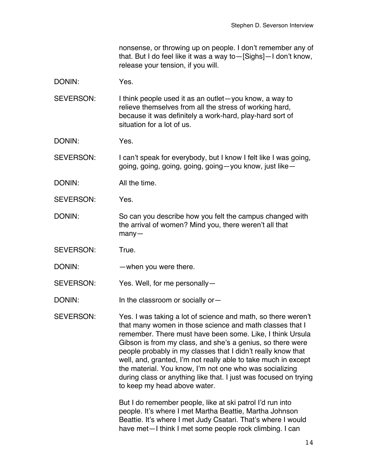nonsense, or throwing up on people. I don't remember any of that. But I do feel like it was a way to—[Sighs]—I don't know, release your tension, if you will.

DONIN: Yes.

SEVERSON: I think people used it as an outlet—you know, a way to relieve themselves from all the stress of working hard, because it was definitely a work-hard, play-hard sort of situation for a lot of us.

DONIN: Yes.

SEVERSON: I can't speak for everybody, but I know I felt like I was going, going, going, going, going, going—you know, just like—

DONIN: All the time.

SEVERSON: Yes.

DONIN: So can you describe how you felt the campus changed with the arrival of women? Mind you, there weren't all that many—

SEVERSON: True.

DONIN: — when you were there.

SEVERSON: Yes. Well, for me personally—

DONIN: In the classroom or socially or-

SEVERSON: Yes. I was taking a lot of science and math, so there weren't that many women in those science and math classes that I remember. There must have been some. Like, I think Ursula Gibson is from my class, and she's a genius, so there were people probably in my classes that I didn't really know that well, and, granted, I'm not really able to take much in except the material. You know, I'm not one who was socializing during class or anything like that. I just was focused on trying to keep my head above water.

> But I do remember people, like at ski patrol I'd run into people. It's where I met Martha Beattie, Martha Johnson Beattie. It's where I met Judy Csatari. That's where I would have met—I think I met some people rock climbing. I can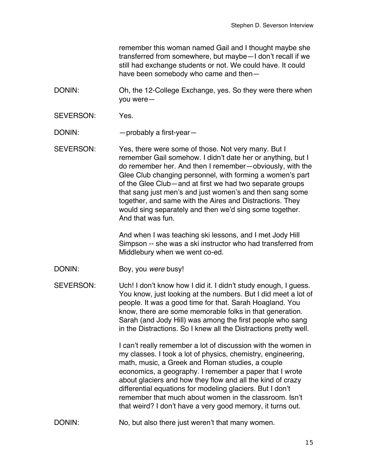remember this woman named Gail and I thought maybe she transferred from somewhere, but maybe—I don't recall if we still had exchange students or not. We could have. It could have been somebody who came and then—

DONIN: Oh, the 12-College Exchange, yes. So they were there when you were—

SEVERSON: Yes.

DONIN: — probably a first-year-

SEVERSON: Yes, there were some of those. Not very many. But I remember Gail somehow. I didn't date her or anything, but I do remember her. And then I remember—obviously, with the Glee Club changing personnel, with forming a women's part of the Glee Club—and at first we had two separate groups that sang just men's and just women's and then sang some together, and same with the Aires and Distractions. They would sing separately and then we'd sing some together. And that was fun.

> And when I was teaching ski lessons, and I met Jody Hill Simpson -- she was a ski instructor who had transferred from Middlebury when we went co-ed.

DONIN: Boy, you *were* busy!

SEVERSON: Uch! I don't know how I did it. I didn't study enough, I guess. You know, just looking at the numbers. But I did meet a lot of people. It was a good time for that. Sarah Hoagland. You know, there are some memorable folks in that generation. Sarah (and Jody Hill) was among the first people who sang in the Distractions. So I knew all the Distractions pretty well.

> I can't really remember a lot of discussion with the women in my classes. I took a lot of physics, chemistry, engineering, math, music, a Greek and Roman studies, a couple economics, a geography. I remember a paper that I wrote about glaciers and how they flow and all the kind of crazy differential equations for modeling glaciers. But I don't remember that much about women in the classroom. Isn't that weird? I don't have a very good memory, it turns out.

DONIN: No, but also there just weren't that many women.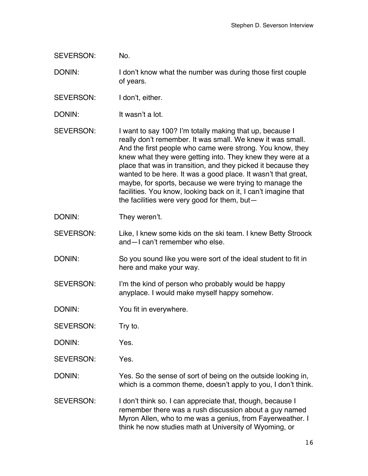SEVERSON: No.

DONIN: I don't know what the number was during those first couple of years.

SEVERSON: I don't, either.

DONIN: It wasn't a lot.

SEVERSON: I want to say 100? I'm totally making that up, because I really don't remember. It was small. We knew it was small. And the first people who came were strong. You know, they knew what they were getting into. They knew they were at a place that was in transition, and they picked it because they wanted to be here. It was a good place. It wasn't that great, maybe, for sports, because we were trying to manage the facilities. You know, looking back on it, I can't imagine that the facilities were very good for them, but—

DONIN: They weren't.

SEVERSON: Like, I knew some kids on the ski team. I knew Betty Stroock and—I can't remember who else.

DONIN: So you sound like you were sort of the ideal student to fit in here and make your way.

SEVERSON: I'm the kind of person who probably would be happy anyplace. I would make myself happy somehow.

DONIN: You fit in everywhere.

SEVERSON: Try to.

DONIN: Yes.

SEVERSON: Yes.

DONIN: Yes. So the sense of sort of being on the outside looking in, which is a common theme, doesn't apply to you, I don't think.

SEVERSON: I don't think so. I can appreciate that, though, because I remember there was a rush discussion about a guy named Myron Allen, who to me was a genius, from Fayerweather. I think he now studies math at University of Wyoming, or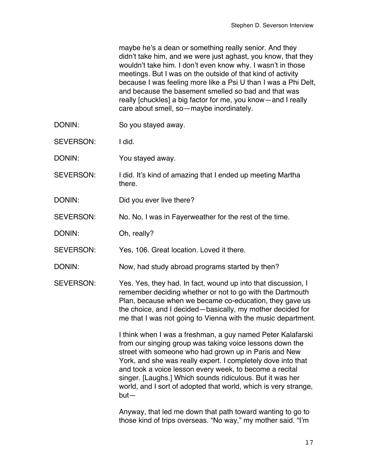maybe he's a dean or something really senior. And they didn't take him, and we were just aghast, you know, that they wouldn't take him. I don't even know why. I wasn't in those meetings. But I was on the outside of that kind of activity because I was feeling more like a Psi U than I was a Phi Delt, and because the basement smelled so bad and that was really [chuckles] a big factor for me, you know—and I really care about smell, so—maybe inordinately.

- DONIN: So you stayed away.
- SEVERSON: I did.
- DONIN: You stayed away.
- SEVERSON: I did. It's kind of amazing that I ended up meeting Martha there.
- DONIN: Did you ever live there?
- SEVERSON: No. No, I was in Fayerweather for the rest of the time.
- DONIN: Oh, really?
- SEVERSON: Yes, 106. Great location. Loved it there.
- DONIN: Now, had study abroad programs started by then?
- SEVERSON: Yes. Yes, they had. In fact, wound up into that discussion, I remember deciding whether or not to go with the Dartmouth Plan, because when we became co-education, they gave us the choice, and I decided—basically, my mother decided for me that I was not going to Vienna with the music department.

I think when I was a freshman, a guy named Peter Kalafarski from our singing group was taking voice lessons down the street with someone who had grown up in Paris and New York, and she was really expert. I completely dove into that and took a voice lesson every week, to become a recital singer. [Laughs.] Which sounds ridiculous. But it was her world, and I sort of adopted that world, which is very strange, but—

Anyway, that led me down that path toward wanting to go to those kind of trips overseas. "No way," my mother said. "I'm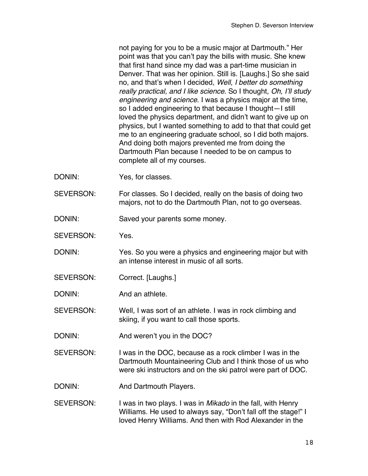not paying for you to be a music major at Dartmouth." Her point was that you can't pay the bills with music. She knew that first hand since my dad was a part-time musician in Denver. That was her opinion. Still is. [Laughs.] So she said no, and that's when I decided, *Well, I better do something really practical, and I like science*. So I thought, *Oh, I*'*ll study engineering and science*. I was a physics major at the time, so I added engineering to that because I thought—I still loved the physics department, and didn't want to give up on physics, but I wanted something to add to that that could get me to an engineering graduate school, so I did both majors. And doing both majors prevented me from doing the Dartmouth Plan because I needed to be on campus to complete all of my courses.

- DONIN: Yes, for classes.
- SEVERSON: For classes. So I decided, really on the basis of doing two majors, not to do the Dartmouth Plan, not to go overseas.
- DONIN: Saved your parents some money.
- SEVERSON: Yes.
- DONIN: Yes. So you were a physics and engineering major but with an intense interest in music of all sorts.
- SEVERSON: Correct. [Laughs.]
- DONIN: And an athlete.

SEVERSON: Well, I was sort of an athlete. I was in rock climbing and skiing, if you want to call those sports.

- DONIN: And weren't you in the DOC?
- SEVERSON: I was in the DOC, because as a rock climber I was in the Dartmouth Mountaineering Club and I think those of us who were ski instructors and on the ski patrol were part of DOC.
- DONIN: And Dartmouth Players.
- SEVERSON: I was in two plays. I was in *Mikado* in the fall, with Henry Williams. He used to always say, "Don't fall off the stage!" I loved Henry Williams. And then with Rod Alexander in the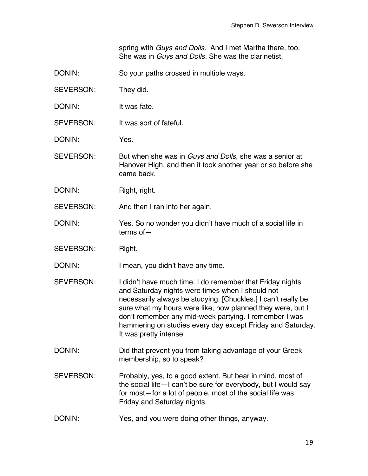spring with *Guys and Dolls*. And I met Martha there, too. She was in *Guys and Dolls*. She was the clarinetist.

DONIN: So your paths crossed in multiple ways.

SEVERSON: They did.

DONIN: It was fate.

SEVERSON: It was sort of fateful.

DONIN: Yes.

SEVERSON: But when she was in *Guys and Dolls*, she was a senior at Hanover High, and then it took another year or so before she came back.

DONIN: Right, right.

SEVERSON: And then I ran into her again.

DONIN: Yes. So no wonder you didn't have much of a social life in terms of—

SEVERSON: Right.

DONIN: I mean, you didn't have any time.

- SEVERSON: I didn't have much time. I do remember that Friday nights and Saturday nights were times when I should not necessarily always be studying. [Chuckles.] I can't really be sure what my hours were like, how planned they were, but I don't remember any mid-week partying. I remember I was hammering on studies every day except Friday and Saturday. It was pretty intense.
- DONIN: Did that prevent you from taking advantage of your Greek membership, so to speak?
- SEVERSON: Probably, yes, to a good extent. But bear in mind, most of the social life—I can't be sure for everybody, but I would say for most—for a lot of people, most of the social life was Friday and Saturday nights.
- DONIN: Yes, and you were doing other things, anyway.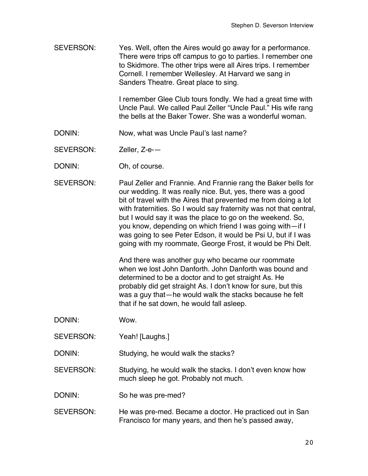SEVERSON: Yes. Well, often the Aires would go away for a performance. There were trips off campus to go to parties. I remember one to Skidmore. The other trips were all Aires trips. I remember Cornell. I remember Wellesley. At Harvard we sang in Sanders Theatre. Great place to sing.

> I remember Glee Club tours fondly. We had a great time with Uncle Paul. We called Paul Zeller "Uncle Paul." His wife rang the bells at the Baker Tower. She was a wonderful woman.

- DONIN: Now, what was Uncle Paul's last name?
- SEVERSON: Zeller, Z-e-—
- DONIN: Oh, of course.
- SEVERSON: Paul Zeller and Frannie. And Frannie rang the Baker bells for our wedding. It was really nice. But, yes, there was a good bit of travel with the Aires that prevented me from doing a lot with fraternities. So I would say fraternity was not that central, but I would say it was the place to go on the weekend. So, you know, depending on which friend I was going with—if I was going to see Peter Edson, it would be Psi U, but if I was going with my roommate, George Frost, it would be Phi Delt.

And there was another guy who became our roommate when we lost John Danforth. John Danforth was bound and determined to be a doctor and to get straight As. He probably did get straight As. I don't know for sure, but this was a guy that—he would walk the stacks because he felt that if he sat down, he would fall asleep.

- DONIN: Wow.
- SEVERSON: Yeah! [Laughs.]

DONIN: Studying, he would walk the stacks?

SEVERSON: Studying, he would walk the stacks. I don't even know how much sleep he got. Probably not much.

DONIN: So he was pre-med?

SEVERSON: He was pre-med. Became a doctor. He practiced out in San Francisco for many years, and then he's passed away,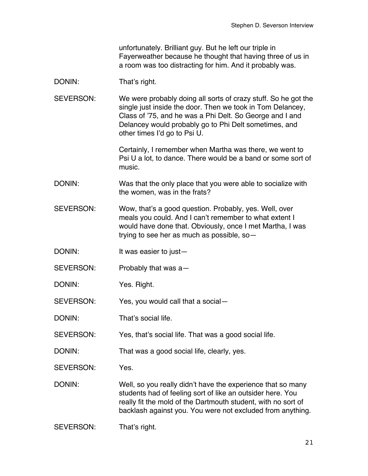unfortunately. Brilliant guy. But he left our triple in Fayerweather because he thought that having three of us in a room was too distracting for him. And it probably was.

## DONIN: That's right.

SEVERSON: We were probably doing all sorts of crazy stuff. So he got the single just inside the door. Then we took in Tom Delancey, Class of '75, and he was a Phi Delt. So George and I and Delancey would probably go to Phi Delt sometimes, and other times I'd go to Psi U.

> Certainly, I remember when Martha was there, we went to Psi U a lot, to dance. There would be a band or some sort of music.

- DONIN: Was that the only place that you were able to socialize with the women, was in the frats?
- SEVERSON: Wow, that's a good question. Probably, yes. Well, over meals you could. And I can't remember to what extent I would have done that. Obviously, once I met Martha, I was trying to see her as much as possible, so—
- DONIN: It was easier to just—
- SEVERSON: Probably that was a—
- DONIN: Yes. Right.
- SEVERSON: Yes, you would call that a social—
- DONIN: That's social life.
- SEVERSON: Yes, that's social life. That was a good social life.
- DONIN: That was a good social life, clearly, yes.

SEVERSON: Yes.

- DONIN: Well, so you really didn't have the experience that so many students had of feeling sort of like an outsider here. You really fit the mold of the Dartmouth student, with no sort of backlash against you. You were not excluded from anything.
- SEVERSON: That's right.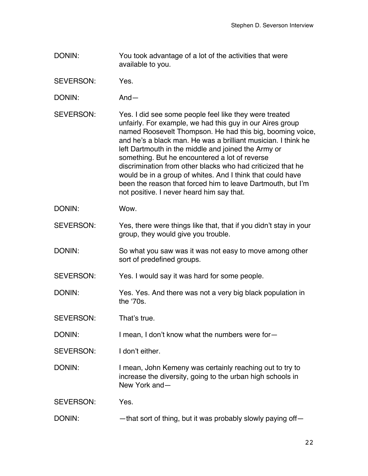- DONIN: You took advantage of a lot of the activities that were available to you.
- SEVERSON: Yes.
- DONIN: And—
- SEVERSON: Yes. I did see some people feel like they were treated unfairly. For example, we had this guy in our Aires group named Roosevelt Thompson. He had this big, booming voice, and he's a black man. He was a brilliant musician. I think he left Dartmouth in the middle and joined the Army or something. But he encountered a lot of reverse discrimination from other blacks who had criticized that he would be in a group of whites. And I think that could have been the reason that forced him to leave Dartmouth, but I'm not positive. I never heard him say that.
- DONIN: Wow.
- SEVERSON: Yes, there were things like that, that if you didn't stay in your group, they would give you trouble.
- DONIN: So what you saw was it was not easy to move among other sort of predefined groups.
- SEVERSON: Yes. I would say it was hard for some people.
- DONIN: Yes. Yes. And there was not a very big black population in the ʻ70s.
- SEVERSON: That's true.
- DONIN: I mean, I don't know what the numbers were for-
- SEVERSON: I don't either.
- DONIN: I mean, John Kemeny was certainly reaching out to try to increase the diversity, going to the urban high schools in New York and—
- SEVERSON: Yes.
- DONIN: — that sort of thing, but it was probably slowly paying off—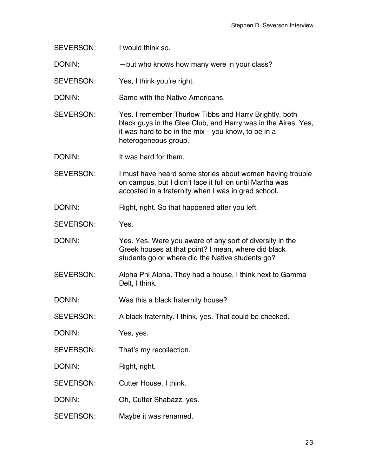| SEVERSON:        | I would think so.                                                                                                                                                                                    |
|------------------|------------------------------------------------------------------------------------------------------------------------------------------------------------------------------------------------------|
| DONIN:           | - but who knows how many were in your class?                                                                                                                                                         |
| SEVERSON:        | Yes, I think you're right.                                                                                                                                                                           |
| DONIN:           | Same with the Native Americans.                                                                                                                                                                      |
| <b>SEVERSON:</b> | Yes. I remember Thurlow Tibbs and Harry Brightly, both<br>black guys in the Glee Club, and Harry was in the Aires. Yes,<br>it was hard to be in the mix-you know, to be in a<br>heterogeneous group. |
| DONIN:           | It was hard for them.                                                                                                                                                                                |
| <b>SEVERSON:</b> | I must have heard some stories about women having trouble<br>on campus, but I didn't face it full on until Martha was<br>accosted in a fraternity when I was in grad school.                         |
| DONIN:           | Right, right. So that happened after you left.                                                                                                                                                       |
| <b>SEVERSON:</b> | Yes.                                                                                                                                                                                                 |
| DONIN:           | Yes. Yes. Were you aware of any sort of diversity in the<br>Greek houses at that point? I mean, where did black<br>students go or where did the Native students go?                                  |
| <b>SEVERSON:</b> | Alpha Phi Alpha. They had a house, I think next to Gamma<br>Delt, I think.                                                                                                                           |
| DONIN:           | Was this a black fraternity house?                                                                                                                                                                   |
| SEVERSON:        |                                                                                                                                                                                                      |
|                  | A black fraternity. I think, yes. That could be checked.                                                                                                                                             |
| DONIN:           | Yes, yes.                                                                                                                                                                                            |
| SEVERSON:        | That's my recollection.                                                                                                                                                                              |
| DONIN:           | Right, right.                                                                                                                                                                                        |
| SEVERSON:        | Cutter House, I think.                                                                                                                                                                               |
| DONIN:           | Oh, Cutter Shabazz, yes.                                                                                                                                                                             |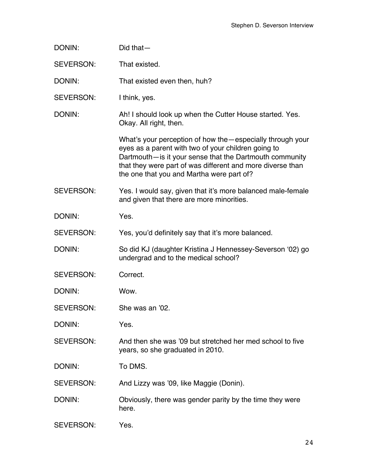| DONIN:           | $Did that -$                                                                                                                                                                                                                                                                             |
|------------------|------------------------------------------------------------------------------------------------------------------------------------------------------------------------------------------------------------------------------------------------------------------------------------------|
| SEVERSON:        | That existed.                                                                                                                                                                                                                                                                            |
| DONIN:           | That existed even then, huh?                                                                                                                                                                                                                                                             |
| SEVERSON:        | I think, yes.                                                                                                                                                                                                                                                                            |
| DONIN:           | Ah! I should look up when the Cutter House started. Yes.<br>Okay. All right, then.                                                                                                                                                                                                       |
|                  | What's your perception of how the - especially through your<br>eyes as a parent with two of your children going to<br>Dartmouth-is it your sense that the Dartmouth community<br>that they were part of was different and more diverse than<br>the one that you and Martha were part of? |
| <b>SEVERSON:</b> | Yes. I would say, given that it's more balanced male-female<br>and given that there are more minorities.                                                                                                                                                                                 |
| DONIN:           | Yes.                                                                                                                                                                                                                                                                                     |
| <b>SEVERSON:</b> | Yes, you'd definitely say that it's more balanced.                                                                                                                                                                                                                                       |
| DONIN:           | So did KJ (daughter Kristina J Hennessey-Severson '02) go<br>undergrad and to the medical school?                                                                                                                                                                                        |
| <b>SEVERSON:</b> | Correct.                                                                                                                                                                                                                                                                                 |
| DONIN:           | Wow.                                                                                                                                                                                                                                                                                     |
| <b>SEVERSON:</b> | She was an '02.                                                                                                                                                                                                                                                                          |
| DONIN:           | Yes.                                                                                                                                                                                                                                                                                     |
| <b>SEVERSON:</b> | And then she was '09 but stretched her med school to five<br>years, so she graduated in 2010.                                                                                                                                                                                            |
| DONIN:           | To DMS.                                                                                                                                                                                                                                                                                  |
| SEVERSON:        | And Lizzy was '09, like Maggie (Donin).                                                                                                                                                                                                                                                  |
| DONIN:           | Obviously, there was gender parity by the time they were<br>here.                                                                                                                                                                                                                        |
| SEVERSON:        | Yes.                                                                                                                                                                                                                                                                                     |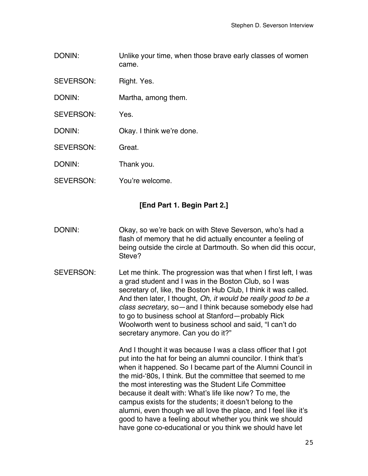- DONIN: Unlike your time, when those brave early classes of women came.
- SEVERSON: Right. Yes.
- DONIN: Martha, among them.
- SEVERSON: Yes.
- DONIN: Okay. I think we're done.
- SEVERSON: Great.
- DONIN: Thank you.
- SEVERSON: You're welcome.

## **[End Part 1. Begin Part 2.]**

- DONIN: Okay, so we're back on with Steve Severson, who's had a flash of memory that he did actually encounter a feeling of being outside the circle at Dartmouth. So when did this occur, Steve?
- SEVERSON: Let me think. The progression was that when I first left, I was a grad student and I was in the Boston Club, so I was secretary of, like, the Boston Hub Club, I think it was called. And then later, I thought, *Oh, it would be really good to be a class secretary*, so—and I think because somebody else had to go to business school at Stanford—probably Rick Woolworth went to business school and said, "I can't do secretary anymore. Can you do it?"

And I thought it was because I was a class officer that I got put into the hat for being an alumni councilor. I think that's when it happened. So I became part of the Alumni Council in the mid-ʻ80s, I think. But the committee that seemed to me the most interesting was the Student Life Committee because it dealt with: What's life like now? To me, the campus exists for the students; it doesn't belong to the alumni, even though we all love the place, and I feel like it's good to have a feeling about whether you think we should have gone co-educational or you think we should have let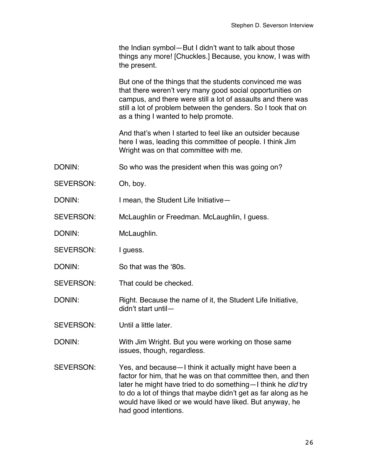|                  | the Indian symbol—But I didn't want to talk about those<br>things any more! [Chuckles.] Because, you know, I was with<br>the present.                                                                                                                                                                                                         |
|------------------|-----------------------------------------------------------------------------------------------------------------------------------------------------------------------------------------------------------------------------------------------------------------------------------------------------------------------------------------------|
|                  | But one of the things that the students convinced me was<br>that there weren't very many good social opportunities on<br>campus, and there were still a lot of assaults and there was<br>still a lot of problem between the genders. So I took that on<br>as a thing I wanted to help promote.                                                |
|                  | And that's when I started to feel like an outsider because<br>here I was, leading this committee of people. I think Jim<br>Wright was on that committee with me.                                                                                                                                                                              |
| DONIN:           | So who was the president when this was going on?                                                                                                                                                                                                                                                                                              |
| <b>SEVERSON:</b> | Oh, boy.                                                                                                                                                                                                                                                                                                                                      |
| DONIN:           | I mean, the Student Life Initiative-                                                                                                                                                                                                                                                                                                          |
| SEVERSON:        | McLaughlin or Freedman. McLaughlin, I guess.                                                                                                                                                                                                                                                                                                  |
| DONIN:           | McLaughlin.                                                                                                                                                                                                                                                                                                                                   |
| <b>SEVERSON:</b> | I guess.                                                                                                                                                                                                                                                                                                                                      |
| DONIN:           | So that was the '80s.                                                                                                                                                                                                                                                                                                                         |
| <b>SEVERSON:</b> | That could be checked.                                                                                                                                                                                                                                                                                                                        |
| DONIN:           | Right. Because the name of it, the Student Life Initiative,<br>didn't start until-                                                                                                                                                                                                                                                            |
| <b>SEVERSON:</b> | Until a little later.                                                                                                                                                                                                                                                                                                                         |
| DONIN:           | With Jim Wright. But you were working on those same<br>issues, though, regardless.                                                                                                                                                                                                                                                            |
| <b>SEVERSON:</b> | Yes, and because - I think it actually might have been a<br>factor for him, that he was on that committee then, and then<br>later he might have tried to do something-I think he did try<br>to do a lot of things that maybe didn't get as far along as he<br>would have liked or we would have liked. But anyway, he<br>had good intentions. |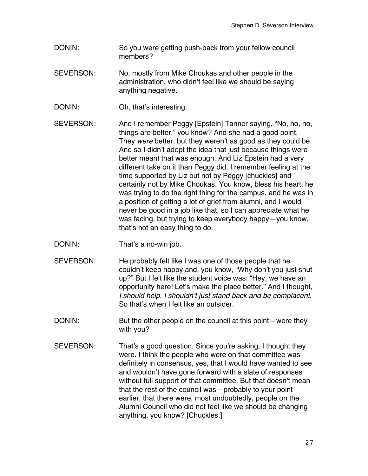- DONIN: So you were getting push-back from your fellow council members?
- SEVERSON: No, mostly from Mike Choukas and other people in the administration, who didn't feel like we should be saying anything negative.
- DONIN: Oh, that's interesting.
- SEVERSON: And I remember Peggy [Epstein] Tanner saying, "No, no, no, things are better," you know? And she had a good point. They *were* better, but they weren't as good as they could be. And so I didn't adopt the idea that just because things were better meant that was enough. And Liz Epstein had a very different take on it than Peggy did. I remember feeling at the time supported by Liz but not by Peggy [chuckles] and certainly not by Mike Choukas. You know, bless his heart, he was trying to do the right thing for the campus, and he was in a position of getting a lot of grief from alumni, and I would never be good in a job like that, so I can appreciate what he was facing, but trying to keep everybody happy—you know, that's not an easy thing to do.
- DONIN: That's a no-win job.
- SEVERSON: He probably felt like I was one of those people that he couldn't keep happy and, you know, "Why don't you just shut up?" But I felt like the student voice was: "Hey, we have an opportunity here! Let's make the place better." And I thought, *I should help. I shouldn*'*t just stand back and be complacent*. So that's when I felt like an outsider.
- DONIN: But the other people on the council at this point—were they with you?
- SEVERSON: That's a good question. Since you're asking, I thought they were. I think the people who were on that committee was definitely in consensus, yes, that I would have wanted to see and wouldn't have gone forward with a slate of responses without full support of that committee. But that doesn't mean that the rest of the council was—probably to your point earlier, that there were, most undoubtedly, people on the Alumni Council who did not feel like we should be changing anything, you know? [Chuckles.]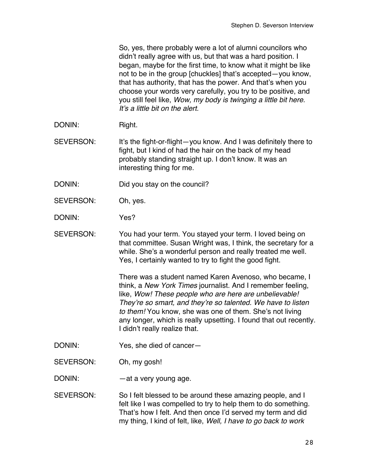So, yes, there probably were a lot of alumni councilors who didn't really agree with us, but that was a hard position. I began, maybe for the first time, to know what it might be like not to be in the group [chuckles] that's accepted—you know, that has authority, that has the power. And that's when you choose your words very carefully, you try to be positive, and you still feel like, *Wow, my body is twinging a little bit here. It*'*s a little bit on the alert.*

DONIN: Right.

SEVERSON: It's the fight-or-flight—you know. And I was definitely there to fight, but I kind of had the hair on the back of my head probably standing straight up. I don't know. It was an interesting thing for me.

- DONIN: Did you stay on the council?
- SEVERSON: Oh, yes.

DONIN: Yes?

SEVERSON: You had your term. You stayed your term. I loved being on that committee. Susan Wright was, I think, the secretary for a while. She's a wonderful person and really treated me well. Yes, I certainly wanted to try to fight the good fight.

> There was a student named Karen Avenoso, who became, I think, a *New York Times* journalist. And I remember feeling, like, *Wow! These people who are here are unbelievable! They*'*re so smart, and they*'*re so talented. We have to listen to them!* You know, she was one of them. She's not living any longer, which is really upsetting. I found that out recently. I didn't really realize that.

- DONIN: Yes, she died of cancer—
- SEVERSON: Oh, my gosh!

DONIN: — — — at a very young age.

SEVERSON: So I felt blessed to be around these amazing people, and I felt like I was compelled to try to help them to do something. That's how I felt. And then once I'd served my term and did my thing, I kind of felt, like, *Well, I have to go back to work*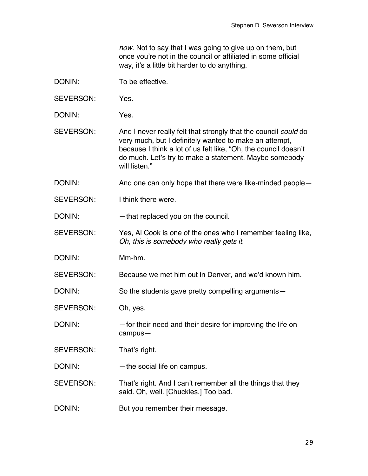*now*. Not to say that I was going to give up on them, but once you're not in the council or affiliated in some official way, it's a little bit harder to do anything.

- DONIN: To be effective.
- SEVERSON: Yes.
- DONIN: Yes.
- SEVERSON: And I never really felt that strongly that the council *could* do very much, but I definitely wanted to make an attempt, because I think a lot of us felt like, "Oh, the council doesn't do much. Let's try to make a statement. Maybe somebody will listen."
- DONIN: And one can only hope that there were like-minded people—
- SEVERSON: I think there were

DONIN: — that replaced you on the council.

SEVERSON: Yes, Al Cook is one of the ones who I remember feeling like, *Oh, this is somebody who really gets it*.

DONIN: Mm-hm.

SEVERSON: Because we met him out in Denver, and we'd known him.

DONIN: So the students gave pretty compelling arguments—

SEVERSON: Oh, yes.

DONIN: —for their need and their desire for improving the life on campus—

SEVERSON: That's right.

DONIN: — the social life on campus.

SEVERSON: That's right. And I can't remember all the things that they said. Oh, well. [Chuckles.] Too bad.

DONIN: But you remember their message.